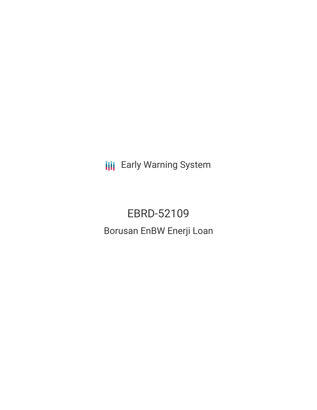**III** Early Warning System

EBRD-52109 Borusan EnBW Enerji Loan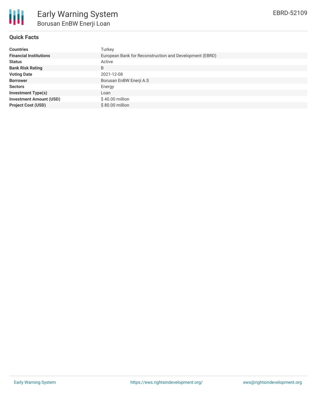

# **Quick Facts**

| <b>Countries</b>               | Turkey                                                  |  |  |  |  |
|--------------------------------|---------------------------------------------------------|--|--|--|--|
| <b>Financial Institutions</b>  | European Bank for Reconstruction and Development (EBRD) |  |  |  |  |
| <b>Status</b>                  | Active                                                  |  |  |  |  |
| <b>Bank Risk Rating</b>        | B                                                       |  |  |  |  |
| <b>Voting Date</b>             | 2021-12-08                                              |  |  |  |  |
| <b>Borrower</b>                | Borusan EnBW Enerji A.S                                 |  |  |  |  |
| <b>Sectors</b>                 | Energy                                                  |  |  |  |  |
| <b>Investment Type(s)</b>      | Loan                                                    |  |  |  |  |
| <b>Investment Amount (USD)</b> | $$40.00$ million                                        |  |  |  |  |
| <b>Project Cost (USD)</b>      | $$80.00$ million                                        |  |  |  |  |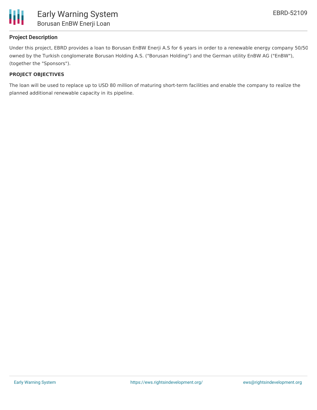

## **Project Description**

Under this project, EBRD provides a loan to Borusan EnBW Enerji A.S for 6 years in order to a renewable energy company 50/50 owned by the Turkish conglomerate Borusan Holding A.S. ("Borusan Holding") and the German utility EnBW AG ("EnBW"), (together the "Sponsors").

### **PROJECT OBJECTIVES**

The loan will be used to replace up to USD 80 million of maturing short-term facilities and enable the company to realize the planned additional renewable capacity in its pipeline.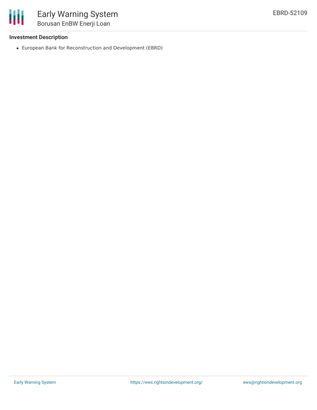

## **Investment Description**

European Bank for Reconstruction and Development (EBRD)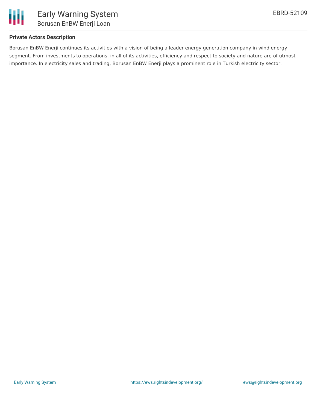

# **Private Actors Description**

Borusan EnBW Enerji continues its activities with a vision of being a leader energy generation company in wind energy segment. From investments to operations, in all of its activities, efficiency and respect to society and nature are of utmost importance. In electricity sales and trading, Borusan EnBW Enerji plays a prominent role in Turkish electricity sector.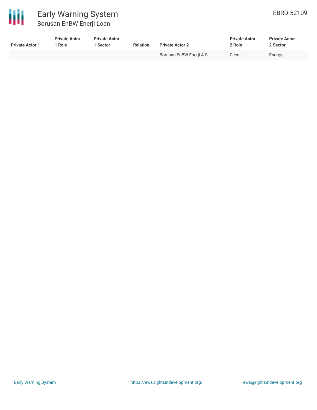

| <b>Private Actor 1</b> | <b>Private Actor</b><br>* Role | <b>Private Actor</b><br><sup>1</sup> Sector | <b>Relation</b>          | <b>Private Actor 2</b>  | <b>Private Actor</b><br>2 Role | <b>Private Actor</b><br>2 Sector |
|------------------------|--------------------------------|---------------------------------------------|--------------------------|-------------------------|--------------------------------|----------------------------------|
| -                      | $\sim$                         | $\overline{\phantom{0}}$                    | $\overline{\phantom{0}}$ | Borusan EnBW Enerji A.S | Client                         | Energy                           |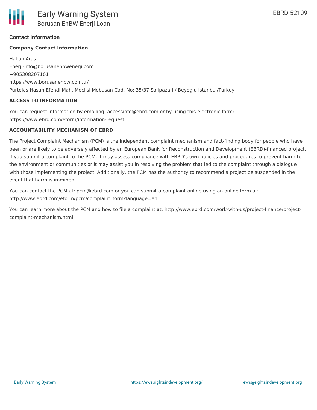EBRD-52109

## **Contact Information**

### **Company Contact Information**

Hakan Aras Enerji-info@borusanenbwenerji.com +905308207101 https://www.borusanenbw.com.tr/ Purtelas Hasan Efendi Mah. Meclisi Mebusan Cad. No: 35/37 Salipazari / Beyoglu Istanbul/Turkey

#### **ACCESS TO INFORMATION**

You can request information by emailing: accessinfo@ebrd.com or by using this electronic form: https://www.ebrd.com/eform/information-request

#### **ACCOUNTABILITY MECHANISM OF EBRD**

The Project Complaint Mechanism (PCM) is the independent complaint mechanism and fact-finding body for people who have been or are likely to be adversely affected by an European Bank for Reconstruction and Development (EBRD)-financed project. If you submit a complaint to the PCM, it may assess compliance with EBRD's own policies and procedures to prevent harm to the environment or communities or it may assist you in resolving the problem that led to the complaint through a dialogue with those implementing the project. Additionally, the PCM has the authority to recommend a project be suspended in the event that harm is imminent.

You can contact the PCM at: pcm@ebrd.com or you can submit a complaint online using an online form at: http://www.ebrd.com/eform/pcm/complaint\_form?language=en

You can learn more about the PCM and how to file a complaint at: http://www.ebrd.com/work-with-us/project-finance/projectcomplaint-mechanism.html